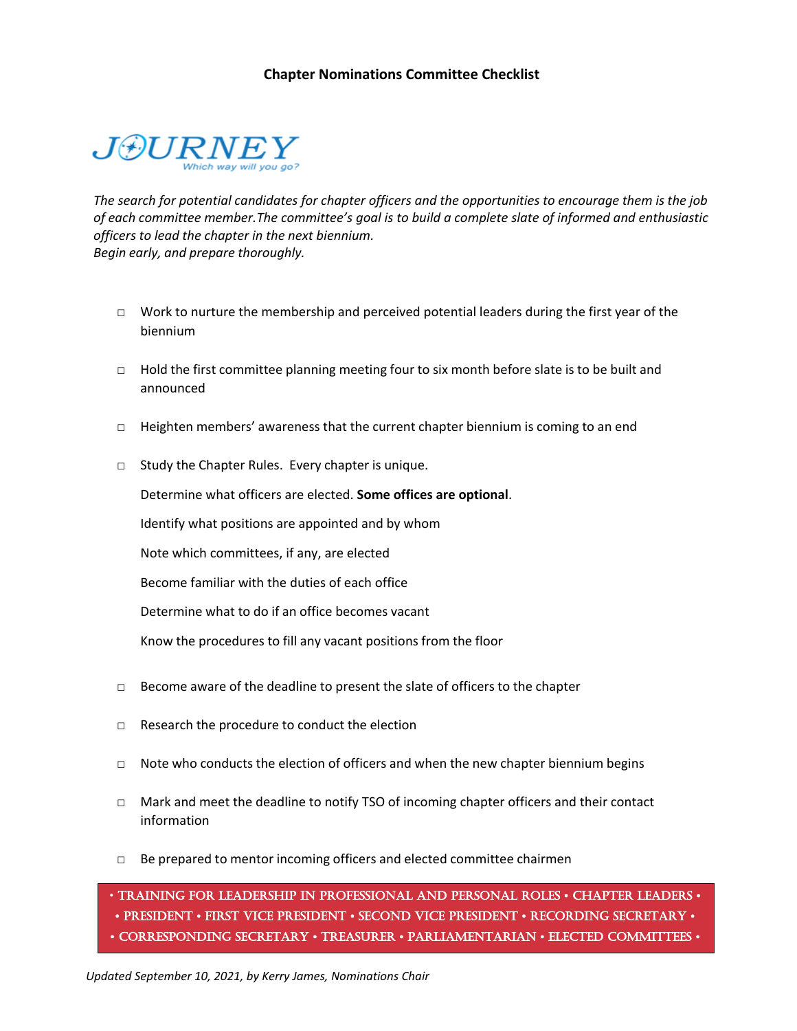# **Chapter Nominations Committee Checklist**



*The search for potential candidates for chapter officers and the opportunities to encourage them is the job of each committee member.The committee's goal is to build a complete slate of informed and enthusiastic officers to lead the chapter in the next biennium. Begin early, and prepare thoroughly.*

- $\Box$  Work to nurture the membership and perceived potential leaders during the first year of the biennium
- $\Box$  Hold the first committee planning meeting four to six month before slate is to be built and announced
- $\Box$  Heighten members' awareness that the current chapter biennium is coming to an end
- □ Study the Chapter Rules. Every chapter is unique.

Determine what officers are elected. **Some offices are optional**.

Identify what positions are appointed and by whom

Note which committees, if any, are elected

Become familiar with the duties of each office

Determine what to do if an office becomes vacant

Know the procedures to fill any vacant positions from the floor

- $\Box$  Become aware of the deadline to present the slate of officers to the chapter
- $\Box$  Research the procedure to conduct the election
- $\Box$  Note who conducts the election of officers and when the new chapter biennium begins
- □ Mark and meet the deadline to notify TSO of incoming chapter officers and their contact information
- $\Box$  Be prepared to mentor incoming officers and elected committee chairmen

• TRAINING FOR LEADERSHIP IN PROFESSIONAL AND PERSONAL ROLES • CHAPTER LEADERS • • PRESIDENT • FIRST VICE PRESIDENT • SECOND VICE PRESIDENT • RECORDING SECRETARY • • CORRESPONDING SECRETARY • TREASURER • PARLIAMENTARIAN • ELECTED COMMITTEES •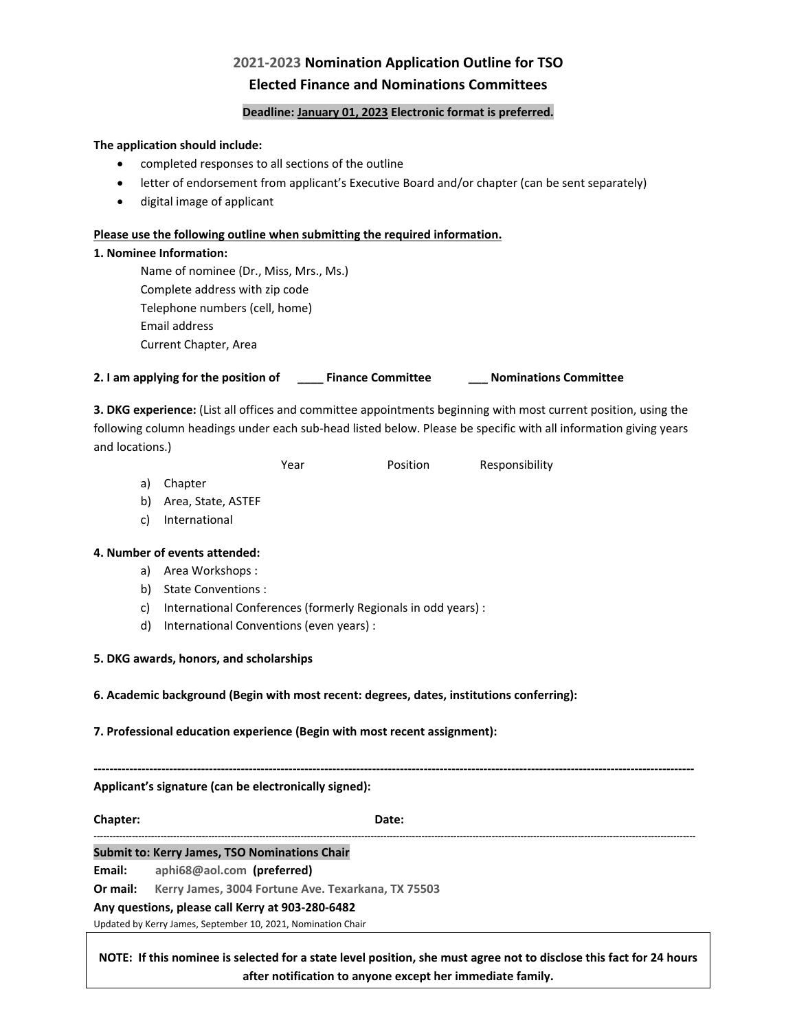# **2021-2023 Nomination Application Outline for TSO Elected Finance and Nominations Committees**

### **Deadline: January 01, 2023 Electronic format is preferred.**

### **The application should include:**

- completed responses to all sections of the outline
- letter of endorsement from applicant's Executive Board and/or chapter (can be sent separately)
- digital image of applicant

### **Please use the following outline when submitting the required information.**

### **1. Nominee Information:**

Name of nominee (Dr., Miss, Mrs., Ms.) Complete address with zip code Telephone numbers (cell, home) Email address Current Chapter, Area

**2. I am applying for the position of \_\_\_\_ Finance Committee \_\_\_ Nominations Committee**

**3. DKG experience:** (List all offices and committee appointments beginning with most current position, using the following column headings under each sub-head listed below. Please be specific with all information giving years and locations.)

Year **Position** Responsibility

- a) Chapter
- b) Area, State, ASTEF
- c) International

# **4. Number of events attended:**

- a) Area Workshops :
- b) State Conventions :
- c) International Conferences (formerly Regionals in odd years) :
- d) International Conventions (even years) :
- **5. DKG awards, honors, and scholarships**

**6. Academic background (Begin with most recent: degrees, dates, institutions conferring):**

**7. Professional education experience (Begin with most recent assignment):**

**------------------------------------------------------------------------------------------------------------------------------------------------------- Applicant's signature (can be electronically signed):**

**Chapter: Date: Date: Date:** 

**---------------------------------------------------------------------------------------------------------------------------------------------------------------------------------------------**

# **Submit to: Kerry James, TSO Nominations Chair**

**Email: aphi68@aol.com (preferred)**

**Or mail: Kerry James, 3004 Fortune Ave. Texarkana, TX 75503**

**Any questions, please call Kerry at 903-280-6482**

Updated by Kerry James, September 10, 2021, Nomination Chair

**NOTE: If this nominee is selected for a state level position, she must agree not to disclose this fact for 24 hours after notification to anyone except her immediate family.**